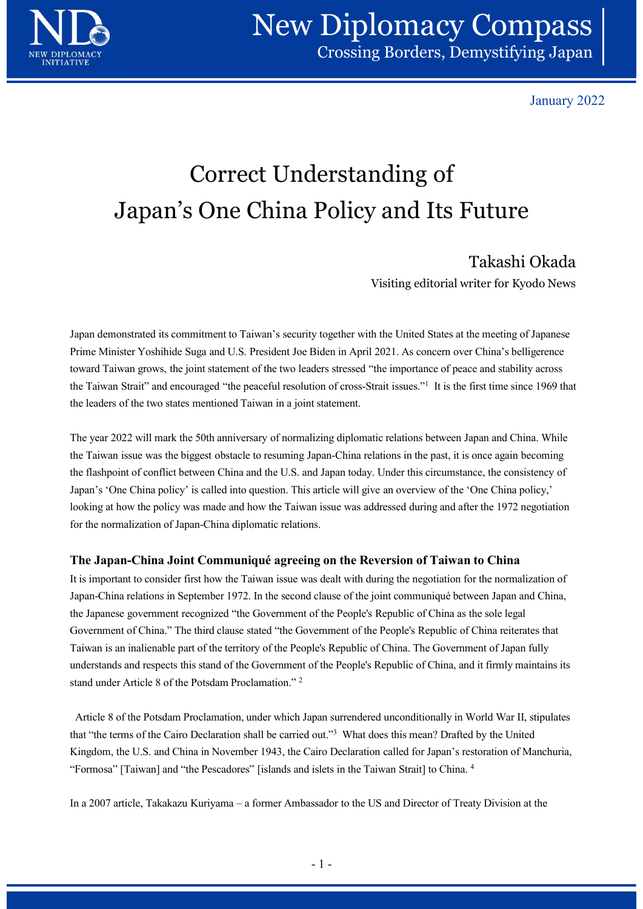

January 2022

# Correct Understanding of Japan's One China Policy and Its Future

## Takashi Okada

Visiting editorial writer for Kyodo News

Japan demonstrated its commitment to Taiwan's security together with the United States at the meeting of Japanese Prime Minister Yoshihide Suga and U.S. President Joe Biden in April 2021. As concern over China's belligerence toward Taiwan grows, the joint statement of the two leaders stressed "the importance of peace and stability across the Taiwan Strait" and encouraged "the peaceful resolution of cross-Strait issues."1 It is the first time since 1969 that the leaders of the two states mentioned Taiwan in a joint statement.

The year 2022 will mark the 50th anniversary of normalizing diplomatic relations between Japan and China. While the Taiwan issue was the biggest obstacle to resuming Japan-China relations in the past, it is once again becoming the flashpoint of conflict between China and the U.S. and Japan today. Under this circumstance, the consistency of Japan's 'One China policy' is called into question. This article will give an overview of the 'One China policy,' looking at how the policy was made and how the Taiwan issue was addressed during and after the 1972 negotiation for the normalization of Japan-China diplomatic relations.

### The Japan-China Joint Communiqué agreeing on the Reversion of Taiwan to China

It is important to consider first how the Taiwan issue was dealt with during the negotiation for the normalization of Japan-China relations in September 1972. In the second clause of the joint communiqué between Japan and China, the Japanese government recognized "the Government of the People's Republic of China as the sole legal Government of China." The third clause stated "the Government of the People's Republic of China reiterates that Taiwan is an inalienable part of the territory of the People's Republic of China. The Government of Japan fully understands and respects this stand of the Government of the People's Republic of China, and it firmly maintains its stand under Article 8 of the Potsdam Proclamation." 2 Ior the normalization of Japan-China aplomatic relations.<br>
The Japan-China Joint Communiqué agreeing on the Reversion of Taiwan to China<br>
It is important to consider first how the Taiwan issue was dealt with during the neg clause of the joint communiqué between Japan and China,<br>of the People's Republic of China as the sole legal<br>vernment of the People's Republic of China as the sole legal<br>vernment of the People's Republic of China. The Gover

Article 8 of the Potsdam Proclamation, under which Japan surrendered unconditionally in World War II, stipulates that "the terms of the Cairo Declaration shall be carried out."3 What does this mean? Drafted by the United Kingdom, the U.S. and China in November 1943, the Cairo Declaration called for Japan's restoration of Manchuria, "Formosa" [Taiwan] and "the Pescadores" [islands and islets in the Taiwan Strait] to China. 4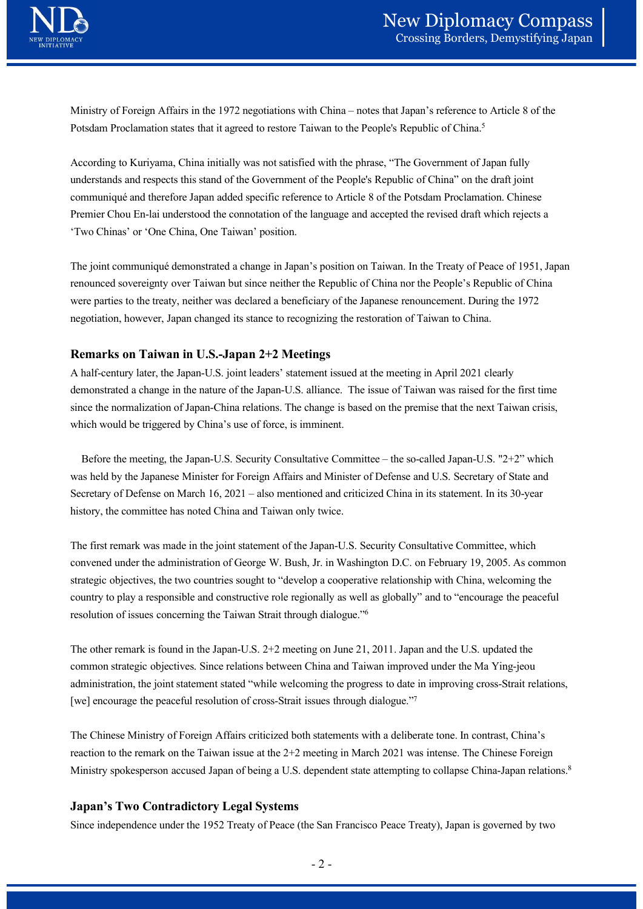

Ministry of Foreign Affairs in the 1972 negotiations with China – notes that Japan's reference to Article 8 of the<br>
Ministry of Foreign Affairs in the 1972 negotiations with China – notes that Japan's reference to Article Potsdam Proclamation states that it agreed to restore Taiwan to the People's Republic of China.5

According to Kuriyama, China initially was not satisfied with the phrase, "The Government of Japan fully understands and respects this stand of the Government of the People's Republic of China" on the draft joint communiqué and therefore Japan added specific reference to Article 8 of the Potsdam Proclamation. Chinese **Premier Chou En-lai understood the connotation of the language and accepted to Freence to Article 8 of the Potsdam Proclamation states that it agreed to restore Taiwan to the People's Republic of China.<sup>5</sup><br>According to Ku** 'Two Chinas' or 'One China, One Taiwan' position.

The joint communiqué demonstrated a change in Japan's position on Taiwan. In the Treaty of Peace of 1951, Japan renounced sovereignty over Taiwan but since neither the Republic of China nor the People's Republic of China were parties to the treaty, neither was declared a beneficiary of the Japanese renouncement. During the 1972 negotiation, however, Japan changed its stance to recognizing the restoration of Taiwan to China. derstands and respects thus stand of the Government of the Peoples Kepublic of Umars' on the child point<br>nominaiqué and therefore Japan added specific reference to Article 8 of the Potsdam Proclamation. Chinese<br>emier Chou Premier Chou En-lai understood the connolation of the language and accepted the revised draft which rejects a<br>
"Two Chinas" or "One China, One Taiwan" position. On Taiwan. In the Treaty of Peace of 1951, Japan<br>
The joint c

#### Remarks on Taiwan in U.S.-Japan 2+2 Meetings

A half-century later, the Japan-U.S. joint leaders' statement issued at the meeting in April 2021 clearly demonstrated a change in the nature of the Japan-U.S. alliance. The issue of Taiwan was raised for the first time since the normalization of Japan-China relations. The change is based on the premise that the next Taiwan crisis, which would be triggered by China's use of force, is imminent.

was held by the Japanese Minister for Foreign Affairs and Minister of Defense and U.S. Secretary of State and history, the committee has noted China and Taiwan only twice.

The first remark was made in the joint statement of the Japan-U.S. Security Consultative Committee, which convened under the administration of George W. Bush, Jr. in Washington D.C. on February 19, 2005. As common strategic objectives, the two countries sought to "develop a cooperative relationship with China, welcoming the country to play a responsible and constructive role regionally as well as globally" and to "encourage the peaceful resolution of issues concerning the Taiwan Strait through dialogue."6 since the normalization of Japan-China relations. The change is based on the premise that the rext Taiwan crisis,<br>which would be triggered by China's use of force, is imminent.<br>Hefore the meeting, the Japan-U.S. Security

The other remark is found in the Japan-U.S. 2+2 meeting on June 21, 2011. Japan and the U.S. updated the common strategic objectives. Since relations between China and Taiwan improved under the Ma Ying-jeou [we] encourage the peaceful resolution of cross-Strait issues through dialogue."7 mally as well as globally" and to "encourage the peaceful<br>th dialogue."<sup>6</sup><br>g on June 21, 2011. Japan and the U.S. updated the<br>hina and Taiwan improved under the Ma Ying-jeou<br>ing the progress to date in improving cross-Stra

The Chinese Ministry of Foreign Affairs criticized both statements with a deliberate tone. In contrast, China's reaction to the remark on the Taiwan issue at the 2+2 meeting in March 2021 was intense. The Chinese Foreign Ministry spokesperson accused Japan of being a U.S. dependent state attempting to collapse China-Japan relations.<sup>8</sup>

#### Japan's Two Contradictory Legal Systems

Since independence under the 1952 Treaty of Peace (the San Francisco Peace Treaty), Japan is governed by two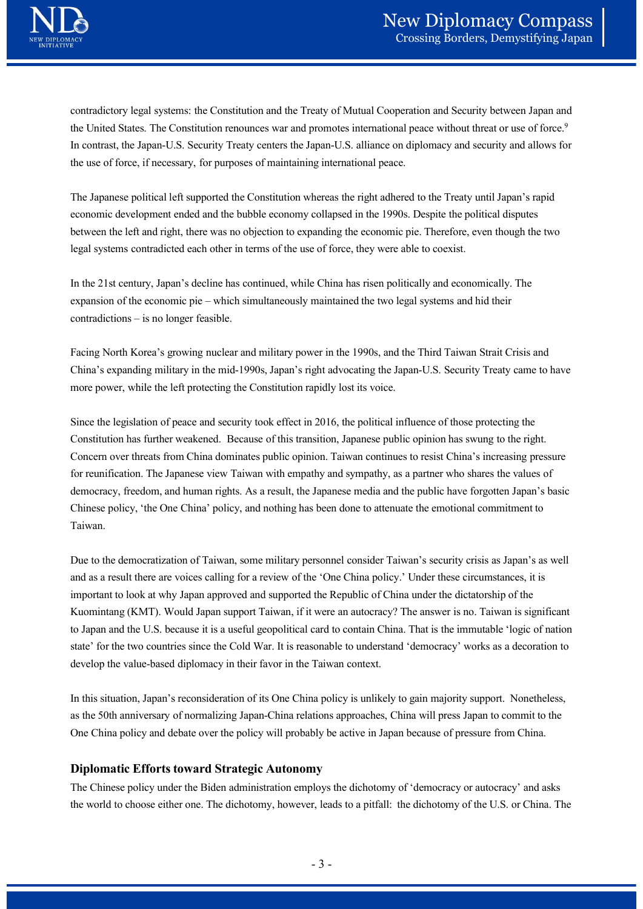

contradictory legal systems: the Constitution and the Treaty of Mutual Cooperation and Security between Japan and the United States. The Constitution renounces war and promotes international peace without threat or use of force.<sup>9</sup> In contrast, the Japan-U.S. Security Treaty centers the Japan-U.S. alliance on diplomacy and security and allows for the use of force, if necessary, for purposes of maintaining international peace. Expansive different metallical systems the Constitution and the Treaty of Mutual Cooperation and Security between Japana and<br>the United States. The Constitution renounces war and promotes international peace without threat

The Japanese political left supported the Constitution whereas the right adhered to the Treaty until Japan's rapid economic development ended and the bubble economy collapsed in the 1990s. Despite the political disputes between the left and right, there was no objection to expanding the economic pie. Therefore, even though the two legal systems contradicted each other in terms of the use of force, they were able to coexist. **Crossing Borders, 1**<br> **Crossing Borders, The Constitution and the Treaty of Mutual Cooperation and Security b<br>
the United States. The Constitution renounces war and promotes international peace without threat<br>
In contrast** 

In the 21st century, Japan's decline has continued, while China has risen politically and economically. The

Facing North Korea's growing nuclear and military power in the 1990s, and the Third Taiwan Strait Crisis and China's expanding military in the mid-1990s, Japan's right advocating the Japan-U.S. Security Treaty came to have more power, while the left protecting the Constitution rapidly lost its voice.

Since the legislation of peace and security took effect in 2016, the political influence of those protecting the Constitution has further weakened. Because of this transition, Japanese public opinion has swung to the right. Concern over threats from China dominates public opinion. Taiwan continues to resist China's increasing pressure for reunification. The Japanese view Taiwan with empathy and sympathy, as a partner who shares the values of democracy, freedom, and human rights. As a result, the Japanese media and the public have forgotten Japan's basic Chinese policy, 'the One China' policy, and nothing has been done to attenuate the emotional commitment to Taiwan.

Due to the democratization of Taiwan, some military personnel consider Taiwan's security crisis as Japan's as well and as a result there are voices calling for a review of the 'One China policy.' Under these circumstances, it is important to look at why Japan approved and supported the Republic of China under the dictatorship of the Kuomintang (KMT). Would Japan support Taiwan, if it were an autocracy? The answer is no. Taiwan is significant to Japan and the U.S. because it is a useful geopolitical card to contain China. That is the immutable 'logic of nation state' for the two countries since the Cold War. It is reasonable to understand 'democracy' works as a decoration to develop the value-based diplomacy in their favor in the Taiwan context. the Republic of China under the dictatorship of the<br>were an autocracy? The answer is no. Taiwan is significant<br>card to contain China. That is the immutable 'logic of nation<br>sonable to understand 'democracy' works as a deco

In this situation, Japan's reconsideration of its One China policy is unlikely to gain majority support. Nonetheless, as the 50th anniversary of normalizing Japan-China relations approaches, China will press Japan to commit to the One China policy and debate over the policy will probably be active in Japan because of pressure from China.

#### Diplomatic Efforts toward Strategic Autonomy

The Chinese policy under the Biden administration employs the dichotomy of 'democracy or autocracy' and asks the world to choose either one. The dichotomy, however, leads to a pitfall: the dichotomy of the U.S. or China. The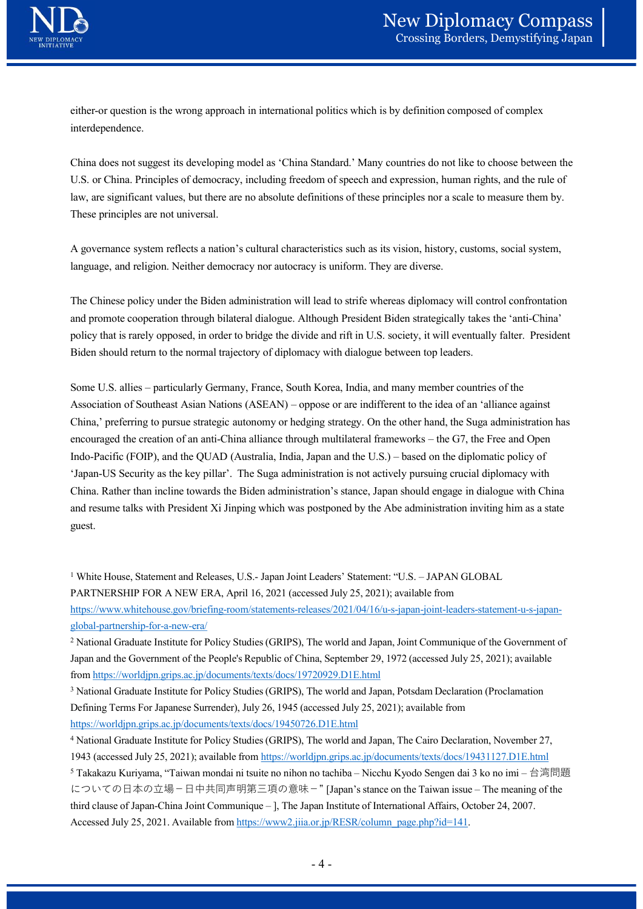

New Diplomacy Compass<br>
Crossing Borders, Demystifying Japan<br>
either-or question is the wrong approach in international politics which is by definition composed of complex<br>
interdependence.<br>
China does not suggest its devel interdependence.

China does not suggest its developing model as 'China Standard.' Many countries do not like to choose between the U.S. or China. Principles of democracy, including freedom of speech and expression, human rights, and the rule of law, are significant values, but there are no absolute definitions of these principles nor a scale to measure them by. These principles are not universal.

A governance system reflects a nation's cultural characteristics such as its vision, history, customs, social system, language, and religion. Neither democracy nor autocracy is uniform. They are diverse.

The Chinese policy under the Biden administration will lead to strife whereas diplomacy will control confrontation and promote cooperation through bilateral dialogue. Although President Biden strategically takes the 'anti-China' policy that is rarely opposed, in order to bridge the divide and rift in U.S. society, it will eventually falter. President Biden should return to the normal trajectory of diplomacy with dialogue between top leaders.

either-or question is the wrong approach in international politics which is by definition composed of complex<br>interdependence.<br>
China does not suggest its developing model as 'China Standard.' Many countries do not like to interdependence.<br>
China does not suggest its developing model as 'China Standard.' Many countries do not like to choose between the<br>
U.S. or China. Principles of democracy, including freedom of speech and expression, human China,' preferring to pursue strategic autonomy or hedging strategy. On the other hand, the Suga administration has China does not suggest its developing model as "China Standard," Many countries do not like to choose between the<br>
U.S. or China. Principles of democracy, including freedom of speech and expression, human rights, and the n U.S. or China. Principles of democracy, including freedom of speech and expression, human rights, and the rule of<br>law, are significant values, but there are no absolute definitions of these principles nor a scale to measur 'Japan-US Security as the key pillar'. The Suga administration is not actively pursuing crucial diplomacy with China. Rather than incline towards the Biden administration's stance, Japan should engage in dialogue with China and resume talks with President Xi Jinping which was postponed by the Abe administration inviting him as a state The Chinese policy under the Biden administration will lead to strife whereas diplomacy will control confrontation<br>and promote cooperation through bilateral dialogue. Although President Biden strategically takes the 'anti-

PARTNERSHIP FOR A NEW ERA, April 16, 2021 (accessed July 25, 2021); available from https://www.whitehouse.gov/briefing-room/statements-releases/2021/04/16/u-s-japan-joint-leaders-statement-u-s-japanglobal-partnership-for-a-new-era/ Exame Nature Towards and Releases (S. 2021) and March 2, square Mondai of the Absolution inviting him as a state<br>and resume talks with President Xi Jinping which was postponed by the Abe administration inviting him as a st unt resume tanks what riestatent extramping winten was prosponsed by the summission inviting min as a same<br>guest.<br>
White House, Statement and Releases, U.S. - Japan Joint Leaders' Statement: "U.S. — JAPAN GLOBAL<br>
PARTNERS guest.<br>
White House, Statement and Releases, U.S.- Japan Joint Leaders' Statement: "U.S. – JAPAN GLOBAL<br>
PARTNERSHIP FOR A NEW ERA, April 16, 2021 (accessed July 25, 2021); available from<br>
https://www.whitehause.gov/brie

<sup>3</sup> National Graduate Institute for Policy Studies (GRIPS), The world and Japan, Potsdam Declaration (Proclamation Defining Terms For Japanese Surrender), July 26, 1945 (accessed July 25, 2021); available from https://worldjpn.grips.ac.jp/documents/texts/docs/19450726.D1E.html

<sup>2</sup> National Graduate Institute for Policy Studies (GRIPS), The world and Japan, Joint Communique of the Government of Japan and the Government of the People's Republic of China, September 29, 1972 (accessed July 25, 2021); available from https://worldjpn.grips.ac.jp/documents/texts/docs/19720929.D1E.html

<sup>4</sup> National Graduate Institute for Policy Studies (GRIPS), The world and Japan, The Cairo Declaration, November 27, 1943 (accessed July 25, 2021); available from https://worldjpn.grips.ac.jp/documents/texts/docs/19431127.D1E.html

PARTNERSHIIP FOR A NEW ERA, April 16, 2021 (accessed July 25, 2021); available from<br>https://www.whitehouse.gov/briefing-room/statements-releases/2021/04/16/u-s-japan-joint-leaders-statement-u-s-japan-<br>globsl-partnership-f